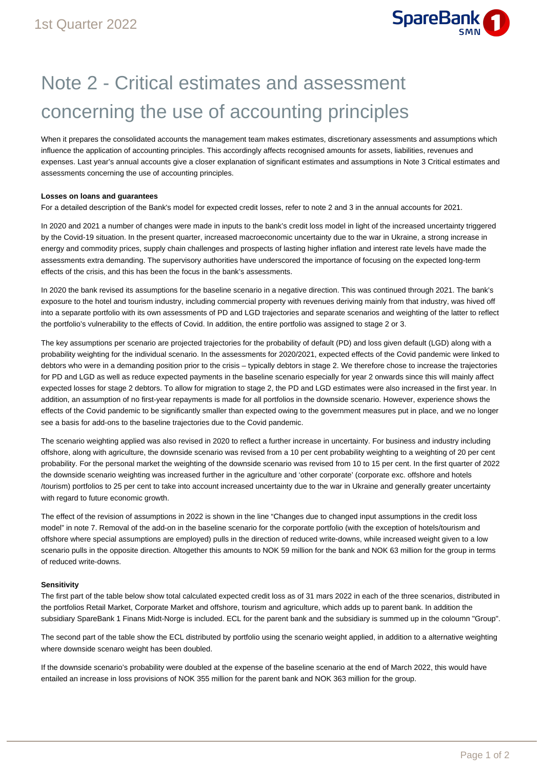

## Note 2 - Critical estimates and assessment concerning the use of accounting principles

When it prepares the consolidated accounts the management team makes estimates, discretionary assessments and assumptions which influence the application of accounting principles. This accordingly affects recognised amounts for assets, liabilities, revenues and expenses. Last year's annual accounts give a closer explanation of significant estimates and assumptions in Note 3 Critical estimates and assessments concerning the use of accounting principles.

## **Losses on loans and guarantees**

For a detailed description of the Bank's model for expected credit losses, refer to note 2 and 3 in the annual accounts for 2021.

In 2020 and 2021 a number of changes were made in inputs to the bank's credit loss model in light of the increased uncertainty triggered by the Covid-19 situation. In the present quarter, increased macroeconomic uncertainty due to the war in Ukraine, a strong increase in energy and commodity prices, supply chain challenges and prospects of lasting higher inflation and interest rate levels have made the assessments extra demanding. The supervisory authorities have underscored the importance of focusing on the expected long-term effects of the crisis, and this has been the focus in the bank's assessments.

In 2020 the bank revised its assumptions for the baseline scenario in a negative direction. This was continued through 2021. The bank's exposure to the hotel and tourism industry, including commercial property with revenues deriving mainly from that industry, was hived off into a separate portfolio with its own assessments of PD and LGD trajectories and separate scenarios and weighting of the latter to reflect the portfolio's vulnerability to the effects of Covid. In addition, the entire portfolio was assigned to stage 2 or 3.

The key assumptions per scenario are projected trajectories for the probability of default (PD) and loss given default (LGD) along with a probability weighting for the individual scenario. In the assessments for 2020/2021, expected effects of the Covid pandemic were linked to debtors who were in a demanding position prior to the crisis – typically debtors in stage 2. We therefore chose to increase the trajectories for PD and LGD as well as reduce expected payments in the baseline scenario especially for year 2 onwards since this will mainly affect expected losses for stage 2 debtors. To allow for migration to stage 2, the PD and LGD estimates were also increased in the first year. In addition, an assumption of no first-year repayments is made for all portfolios in the downside scenario. However, experience shows the effects of the Covid pandemic to be significantly smaller than expected owing to the government measures put in place, and we no longer see a basis for add-ons to the baseline trajectories due to the Covid pandemic.

The scenario weighting applied was also revised in 2020 to reflect a further increase in uncertainty. For business and industry including offshore, along with agriculture, the downside scenario was revised from a 10 per cent probability weighting to a weighting of 20 per cent probability. For the personal market the weighting of the downside scenario was revised from 10 to 15 per cent. In the first quarter of 2022 the downside scenario weighting was increased further in the agriculture and 'other corporate' (corporate exc. offshore and hotels /tourism) portfolios to 25 per cent to take into account increased uncertainty due to the war in Ukraine and generally greater uncertainty with regard to future economic growth.

The effect of the revision of assumptions in 2022 is shown in the line "Changes due to changed input assumptions in the credit loss model" in note 7. Removal of the add-on in the baseline scenario for the corporate portfolio (with the exception of hotels/tourism and offshore where special assumptions are employed) pulls in the direction of reduced write-downs, while increased weight given to a low scenario pulls in the opposite direction. Altogether this amounts to NOK 59 million for the bank and NOK 63 million for the group in terms of reduced write-downs.

## **Sensitivity**

The first part of the table below show total calculated expected credit loss as of 31 mars 2022 in each of the three scenarios, distributed in the portfolios Retail Market, Corporate Market and offshore, tourism and agriculture, which adds up to parent bank. In addition the subsidiary SpareBank 1 Finans Midt-Norge is included. ECL for the parent bank and the subsidiary is summed up in the coloumn "Group".

The second part of the table show the ECL distributed by portfolio using the scenario weight applied, in addition to a alternative weighting where downside scenaro weight has been doubled.

If the downside scenario's probability were doubled at the expense of the baseline scenario at the end of March 2022, this would have entailed an increase in loss provisions of NOK 355 million for the parent bank and NOK 363 million for the group.